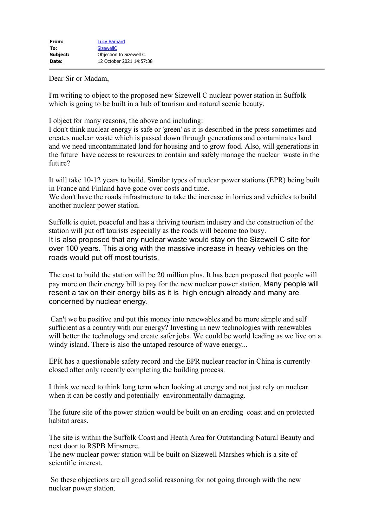Dear Sir or Madam,

I'm writing to object to the proposed new Sizewell C nuclear power station in Suffolk which is going to be built in a hub of tourism and natural scenic beauty.

I object for many reasons, the above and including:

I don't think nuclear energy is safe or 'green' as it is described in the press sometimes and creates nuclear waste which is passed down through generations and contaminates land and we need uncontaminated land for housing and to grow food. Also, will generations in the future have access to resources to contain and safely manage the nuclear waste in the future?

It will take 10-12 years to build. Similar types of nuclear power stations (EPR) being built in France and Finland have gone over costs and time.

We don't have the roads infrastructure to take the increase in lorries and vehicles to build another nuclear power station.

Suffolk is quiet, peaceful and has a thriving tourism industry and the construction of the station will put off tourists especially as the roads will become too busy. It is also proposed that any nuclear waste would stay on the Sizewell C site for over 100 years. This along with the massive increase in heavy vehicles on the roads would put off most tourists.

The cost to build the station will be 20 million plus. It has been proposed that people will pay more on their energy bill to pay for the new nuclear power station. Many people will resent a tax on their energy bills as it is high enough already and many are concerned by nuclear energy.

Can't we be positive and put this money into renewables and be more simple and self sufficient as a country with our energy? Investing in new technologies with renewables will better the technology and create safer jobs. We could be world leading as we live on a windy island. There is also the untaped resource of wave energy...

EPR has a questionable safety record and the EPR nuclear reactor in China is currently closed after only recently completing the building process.

I think we need to think long term when looking at energy and not just rely on nuclear when it can be costly and potentially environmentally damaging.

The future site of the power station would be built on an eroding coast and on protected habitat areas.

The site is within the Suffolk Coast and Heath Area for Outstanding Natural Beauty and next door to RSPB Minsmere.

The new nuclear power station will be built on Sizewell Marshes which is a site of scientific interest.

So these objections are all good solid reasoning for not going through with the new nuclear power station.